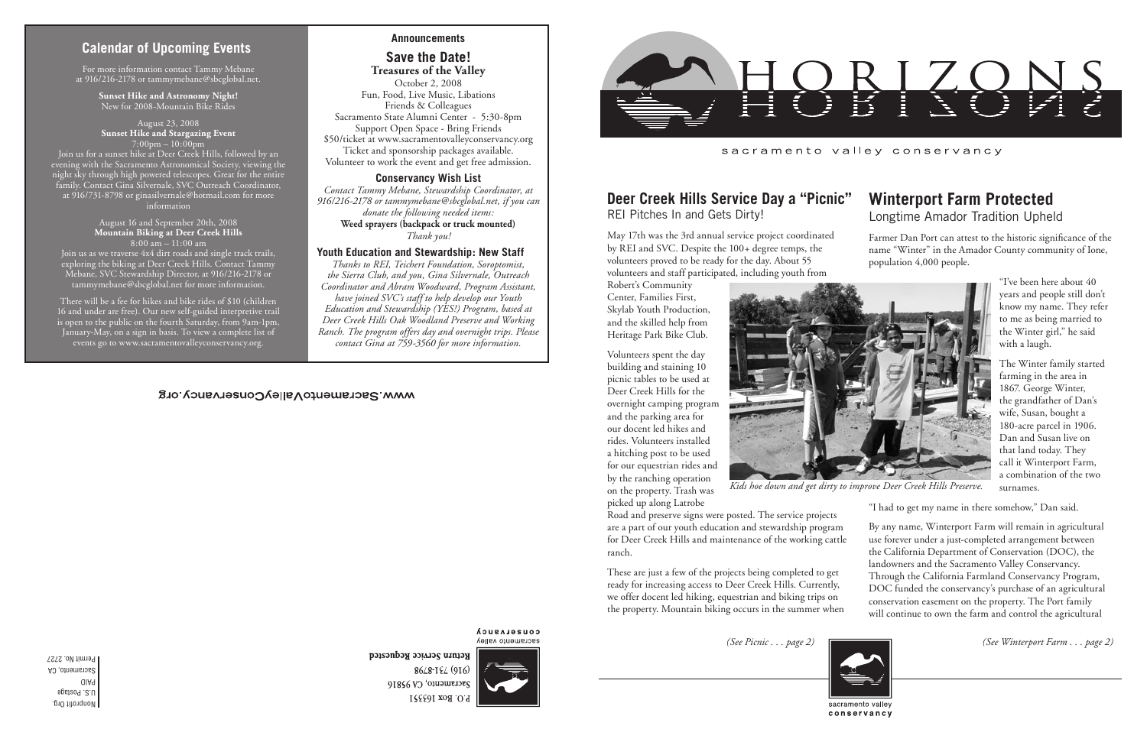Nonprofit Org. U.S. Postage PAID Sacramento, CA Permit No. 2727

# **Calendar of Upcoming Events**

*Kids hoe down and get dirty to improve Deer Creek Hills Preserve.*

May 17th was the 3rd annual service project coordinated by REI and SVC. Despite the 100+ degree temps, the volunteers proved to be ready for the day. About 55 volunteers and staff participated, including youth from

Robert's Community Center, Families First, Skylab Youth Production, and the skilled help from Heritage Park Bike Club.

Volunteers spent the day building and staining 10 picnic tables to be used at Deer Creek Hills for the overnight camping program and the parking area for our docent led hikes and rides. Volunteers installed a hitching post to be used for our equestrian rides and by the ranching operation on the property. Trash was picked up along Latrobe



#### **Deer Creek Hills Service Day a "Picnic"** REI Pitches In and Gets Dirty! **Winterport Farm Protected** Longtime Amador Tradition Upheld

for Deer Creek Hills and maintenance of the working cattle ranch. These are just a few of the projects being completed to get ready for increasing access to Deer Creek Hills. Currently, we offer docent led hiking, equestrian and biking trips on the property. Mountain biking occurs in the summer when



**COUSELASUCA** sacramento valley

Return Service Requested 8648-194 (916) Sacramento, CA 95816 P.O. Box 163351

Farmer Dan Port can attest to the historic significance of the name "Winter" in the Amador County community of Ione, population 4,000 people.

> "I've been here about 40 years and people still don't know my name. They refer to me as being married to the Winter girl," he said with a laugh.

Road and preserve signs were posted. The service projects are a part of our youth education and stewardship program By any name, Winterport Farm will remain in agricultural use forever under a just-completed arrangement between the California Department of Conservation (DOC), the landowners and the Sacramento Valley Conservancy. Through the California Farmland Conservancy Program, DOC funded the conservancy's purchase of an agricultural conservation easement on the property. The Port family will continue to own the farm and control the agricultural

The Winter family started farming in the area in 1867. George Winter, the grandfather of Dan's wife, Susan, bought a 180-acre parcel in 1906. Dan and Susan live on that land today. They call it Winterport Farm, a combination of the two surnames.

"I had to get my name in there somehow," Dan said.

For more information contact Tammy Mebane at 916/216-2178 or tammymebane@sbcglobal.net.

> **Sunset Hike and Astronomy Night!** New for 2008-Mountain Bike Rides

August 23, 2008 **Sunset Hike and Stargazing Event** 7:00pm – 10:00pm

Join us for a sunset hike at Deer Creek Hills, followed by an evening with the Sacramento Astronomical Society, viewing the night sky through high powered telescopes. Great for the entire family. Contact Gina Silvernale, SVC Outreach Coordinator, at 916/731-8798 or ginasilvernale@hotmail.com for more information

### August 16 and September 20th, 2008 **Mountain Biking at Deer Creek Hills** 8:00 am – 11:00 am

Join us as we traverse 4x4 dirt roads and single track trails, exploring the biking at Deer Creek Hills. Contact Tammy Mebane, SVC Stewardship Director, at 916/216-2178 or tammymebane@sbcglobal.net for more information.

There will be a fee for hikes and bike rides of \$10 (children 16 and under are free). Our new self-guided interpretive trail is open to the public on the fourth Saturday, from 9am-1pm, January-May, on a sign in basis. To view a complete list of events go to www.sacramentovalleyconservancy.org.

*(See Picnic . . . page 2) (See Winterport Farm . . . page 2)*

### **Announcements**

# **Save the Date!**

**Treasures of the Valley** October 2, 2008 Fun, Food, Live Music, Libations Friends & Colleagues Sacramento State Alumni Center - 5:30-8pm Support Open Space - Bring Friends \$50/ticket at www.sacramentovalleyconservancy.org Ticket and sponsorship packages available. Volunteer to work the event and get free admission.

# **Conservancy Wish List**

*Contact Tammy Mebane, Stewardship Coordinator, at 916/216-2178 or tammymebane@sbcglobal.net, if you can donate the following needed items:*  **Weed sprayers (backpack or truck mounted)** *Thank you!*

### **Youth Education and Stewardship: New Staff**

*Thanks to REI, Teichert Foundation, Soroptomist, the Sierra Club, and you, Gina Silvernale, Outreach Coordinator and Abram Woodward, Program Assistant, have joined SVC's staff to help develop our Youth Education and Stewardship (YES!) Program, based at Deer Creek Hills Oak Woodland Preserve and Working Ranch. The program offers day and overnight trips. Please contact Gina at 759-3560 for more information.*

# WWW.SacramentoValleyConservancy.org



sacramento valley conservancy